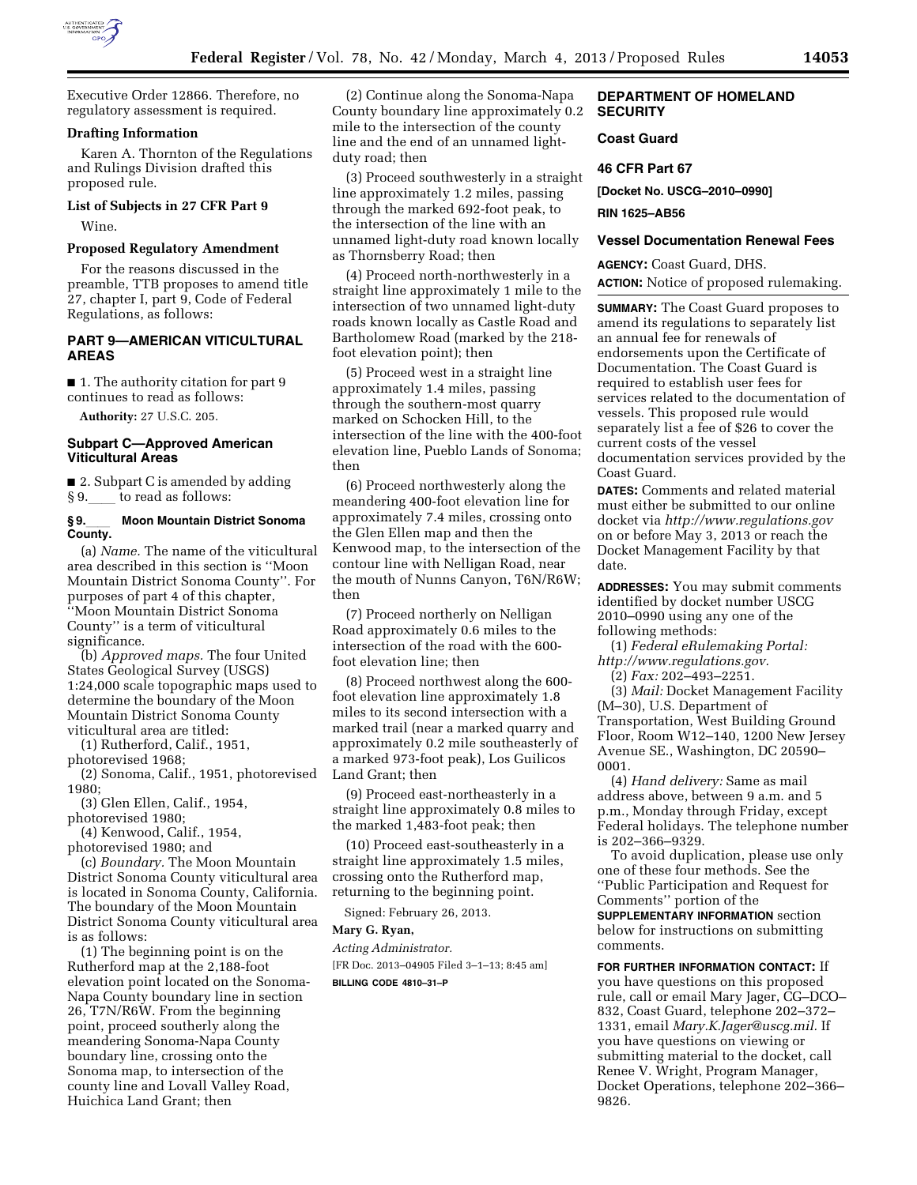

Executive Order 12866. Therefore, no regulatory assessment is required.

### **Drafting Information**

Karen A. Thornton of the Regulations and Rulings Division drafted this proposed rule.

# **List of Subjects in 27 CFR Part 9**

Wine.

# **Proposed Regulatory Amendment**

For the reasons discussed in the preamble, TTB proposes to amend title 27, chapter I, part 9, Code of Federal Regulations, as follows:

# **PART 9—AMERICAN VITICULTURAL AREAS**

■ 1. The authority citation for part 9 continues to read as follows:

**Authority:** 27 U.S.C. 205.

# **Subpart C—Approved American Viticultural Areas**

■ 2. Subpart C is amended by adding § 9. to read as follows:

### **§ 9.**ll **Moon Mountain District Sonoma County.**

(a) *Name.* The name of the viticultural area described in this section is ''Moon Mountain District Sonoma County''. For purposes of part 4 of this chapter, ''Moon Mountain District Sonoma County'' is a term of viticultural significance.

(b) *Approved maps.* The four United States Geological Survey (USGS) 1:24,000 scale topographic maps used to determine the boundary of the Moon Mountain District Sonoma County viticultural area are titled:

(1) Rutherford, Calif., 1951,

photorevised 1968;

(2) Sonoma, Calif., 1951, photorevised 1980;

(3) Glen Ellen, Calif., 1954,

photorevised 1980; (4) Kenwood, Calif., 1954,

photorevised 1980; and

(c) *Boundary.* The Moon Mountain District Sonoma County viticultural area is located in Sonoma County, California. The boundary of the Moon Mountain District Sonoma County viticultural area is as follows:

(1) The beginning point is on the Rutherford map at the 2,188-foot elevation point located on the Sonoma-Napa County boundary line in section 26, T7N/R6W. From the beginning point, proceed southerly along the meandering Sonoma-Napa County boundary line, crossing onto the Sonoma map, to intersection of the county line and Lovall Valley Road, Huichica Land Grant; then

(2) Continue along the Sonoma-Napa County boundary line approximately 0.2 mile to the intersection of the county line and the end of an unnamed lightduty road; then

(3) Proceed southwesterly in a straight line approximately 1.2 miles, passing through the marked 692-foot peak, to the intersection of the line with an unnamed light-duty road known locally as Thornsberry Road; then

(4) Proceed north-northwesterly in a straight line approximately 1 mile to the intersection of two unnamed light-duty roads known locally as Castle Road and Bartholomew Road (marked by the 218 foot elevation point); then

(5) Proceed west in a straight line approximately 1.4 miles, passing through the southern-most quarry marked on Schocken Hill, to the intersection of the line with the 400-foot elevation line, Pueblo Lands of Sonoma; then

(6) Proceed northwesterly along the meandering 400-foot elevation line for approximately 7.4 miles, crossing onto the Glen Ellen map and then the Kenwood map, to the intersection of the contour line with Nelligan Road, near the mouth of Nunns Canyon, T6N/R6W; then

(7) Proceed northerly on Nelligan Road approximately 0.6 miles to the intersection of the road with the 600 foot elevation line; then

(8) Proceed northwest along the 600 foot elevation line approximately 1.8 miles to its second intersection with a marked trail (near a marked quarry and approximately 0.2 mile southeasterly of a marked 973-foot peak), Los Guilicos Land Grant; then

(9) Proceed east-northeasterly in a straight line approximately 0.8 miles to the marked 1,483-foot peak; then

(10) Proceed east-southeasterly in a straight line approximately 1.5 miles, crossing onto the Rutherford map, returning to the beginning point.

Signed: February 26, 2013.

#### **Mary G. Ryan,**

*Acting Administrator.*  [FR Doc. 2013–04905 Filed 3–1–13; 8:45 am] **BILLING CODE 4810–31–P** 

# **DEPARTMENT OF HOMELAND SECURITY**

# **Coast Guard**

#### **46 CFR Part 67**

**[Docket No. USCG–2010–0990]** 

#### **RIN 1625–AB56**

#### **Vessel Documentation Renewal Fees**

**AGENCY:** Coast Guard, DHS. **ACTION:** Notice of proposed rulemaking.

**SUMMARY:** The Coast Guard proposes to amend its regulations to separately list an annual fee for renewals of endorsements upon the Certificate of Documentation. The Coast Guard is required to establish user fees for services related to the documentation of vessels. This proposed rule would separately list a fee of \$26 to cover the current costs of the vessel documentation services provided by the Coast Guard.

**DATES:** Comments and related material must either be submitted to our online docket via *<http://www.regulations.gov>*  on or before May 3, 2013 or reach the Docket Management Facility by that date.

**ADDRESSES:** You may submit comments identified by docket number USCG 2010–0990 using any one of the following methods:

(1) *Federal eRulemaking Portal: [http://www.regulations.gov.](http://www.regulations.gov)* 

(2) *Fax:* 202–493–2251.

(3) *Mail:* Docket Management Facility (M–30), U.S. Department of Transportation, West Building Ground Floor, Room W12–140, 1200 New Jersey Avenue SE., Washington, DC 20590– 0001.

(4) *Hand delivery:* Same as mail address above, between 9 a.m. and 5 p.m., Monday through Friday, except Federal holidays. The telephone number is 202–366–9329.

To avoid duplication, please use only one of these four methods. See the ''Public Participation and Request for Comments'' portion of the **SUPPLEMENTARY INFORMATION** section below for instructions on submitting comments.

**FOR FURTHER INFORMATION CONTACT:** If you have questions on this proposed rule, call or email Mary Jager, CG–DCO– 832, Coast Guard, telephone 202–372– 1331, email *[Mary.K.Jager@uscg.mil.](mailto:Mary.K.Jager@uscg.mil)* If you have questions on viewing or submitting material to the docket, call Renee V. Wright, Program Manager, Docket Operations, telephone 202–366– 9826.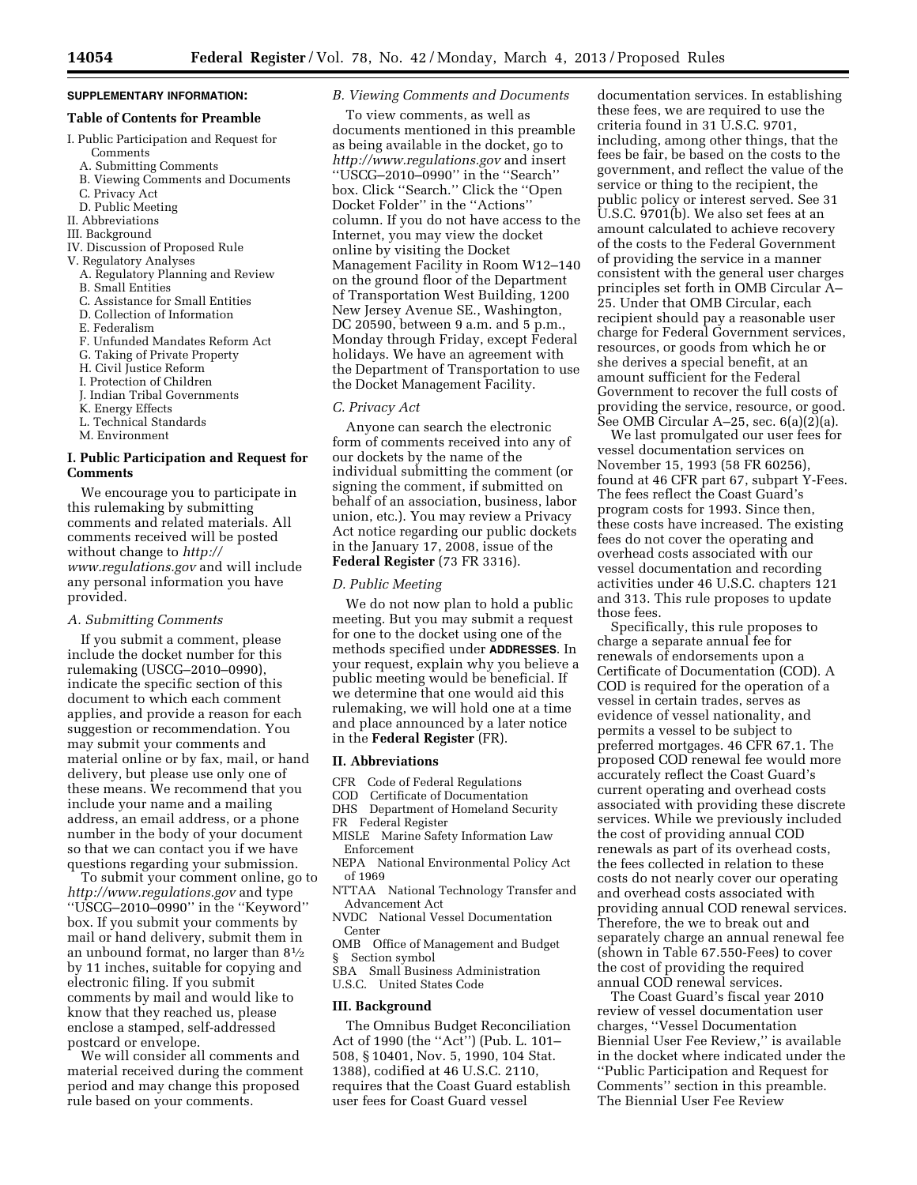# **SUPPLEMENTARY INFORMATION:**

# **Table of Contents for Preamble**

- I. Public Participation and Request for Comments
	- A. Submitting Comments
	- B. Viewing Comments and Documents
	- C. Privacy Act
	- D. Public Meeting
- II. Abbreviations
- III. Background
- IV. Discussion of Proposed Rule
- V. Regulatory Analyses
	- A. Regulatory Planning and Review
	- B. Small Entities
	- C. Assistance for Small Entities
	- D. Collection of Information
	- E. Federalism
	- F. Unfunded Mandates Reform Act
	- G. Taking of Private Property
	- H. Civil Justice Reform
	- I. Protection of Children
	- J. Indian Tribal Governments
	- K. Energy Effects
	- L. Technical Standards
	- M. Environment

# **I. Public Participation and Request for Comments**

We encourage you to participate in this rulemaking by submitting comments and related materials. All comments received will be posted without change to *[http://](http://www.regulations.gov) [www.regulations.gov](http://www.regulations.gov)* and will include any personal information you have provided.

#### *A. Submitting Comments*

If you submit a comment, please include the docket number for this rulemaking (USCG–2010–0990), indicate the specific section of this document to which each comment applies, and provide a reason for each suggestion or recommendation. You may submit your comments and material online or by fax, mail, or hand delivery, but please use only one of these means. We recommend that you include your name and a mailing address, an email address, or a phone number in the body of your document so that we can contact you if we have questions regarding your submission.

To submit your comment online, go to *<http://www.regulations.gov>* and type ''USCG–2010–0990'' in the ''Keyword'' box. If you submit your comments by mail or hand delivery, submit them in an unbound format, no larger than 81⁄2 by 11 inches, suitable for copying and electronic filing. If you submit comments by mail and would like to know that they reached us, please enclose a stamped, self-addressed postcard or envelope.

We will consider all comments and material received during the comment period and may change this proposed rule based on your comments.

# *B. Viewing Comments and Documents*

To view comments, as well as documents mentioned in this preamble as being available in the docket, go to *<http://www.regulations.gov>* and insert ''USCG–2010–0990'' in the ''Search'' box. Click ''Search.'' Click the ''Open Docket Folder'' in the ''Actions'' column. If you do not have access to the Internet, you may view the docket online by visiting the Docket Management Facility in Room W12–140 on the ground floor of the Department of Transportation West Building, 1200 New Jersey Avenue SE., Washington, DC 20590, between 9 a.m. and 5 p.m., Monday through Friday, except Federal holidays. We have an agreement with the Department of Transportation to use the Docket Management Facility.

#### *C. Privacy Act*

Anyone can search the electronic form of comments received into any of our dockets by the name of the individual submitting the comment (or signing the comment, if submitted on behalf of an association, business, labor union, etc.). You may review a Privacy Act notice regarding our public dockets in the January 17, 2008, issue of the **Federal Register** (73 FR 3316).

### *D. Public Meeting*

We do not now plan to hold a public meeting. But you may submit a request for one to the docket using one of the methods specified under **ADDRESSES**. In your request, explain why you believe a public meeting would be beneficial. If we determine that one would aid this rulemaking, we will hold one at a time and place announced by a later notice in the **Federal Register** (FR).

#### **II. Abbreviations**

- CFR Code of Federal Regulations<br>COD Certificate of Documentation
- Certificate of Documentation
- DHS Department of Homeland Security
- FR Federal Register
- MISLE Marine Safety Information Law Enforcement
- NEPA National Environmental Policy Act of 1969
- NTTAA National Technology Transfer and Advancement Act
- NVDC National Vessel Documentation Center
- OMB Office of Management and Budget § Section symbol
- SBA Small Business Administration
- U.S.C. United States Code

#### **III. Background**

The Omnibus Budget Reconciliation Act of 1990 (the ''Act'') (Pub. L. 101– 508, § 10401, Nov. 5, 1990, 104 Stat. 1388), codified at 46 U.S.C. 2110, requires that the Coast Guard establish user fees for Coast Guard vessel

documentation services. In establishing these fees, we are required to use the criteria found in 31 U.S.C. 9701, including, among other things, that the fees be fair, be based on the costs to the government, and reflect the value of the service or thing to the recipient, the public policy or interest served. See 31 U.S.C. 9701(b). We also set fees at an amount calculated to achieve recovery of the costs to the Federal Government of providing the service in a manner consistent with the general user charges principles set forth in OMB Circular A– 25. Under that OMB Circular, each recipient should pay a reasonable user charge for Federal Government services, resources, or goods from which he or she derives a special benefit, at an amount sufficient for the Federal Government to recover the full costs of providing the service, resource, or good. See OMB Circular A–25, sec. 6(a)(2)(a).

We last promulgated our user fees for vessel documentation services on November 15, 1993 (58 FR 60256), found at 46 CFR part 67, subpart Y-Fees. The fees reflect the Coast Guard's program costs for 1993. Since then, these costs have increased. The existing fees do not cover the operating and overhead costs associated with our vessel documentation and recording activities under 46 U.S.C. chapters 121 and 313. This rule proposes to update those fees.

Specifically, this rule proposes to charge a separate annual fee for renewals of endorsements upon a Certificate of Documentation (COD). A COD is required for the operation of a vessel in certain trades, serves as evidence of vessel nationality, and permits a vessel to be subject to preferred mortgages. 46 CFR 67.1. The proposed COD renewal fee would more accurately reflect the Coast Guard's current operating and overhead costs associated with providing these discrete services. While we previously included the cost of providing annual COD renewals as part of its overhead costs, the fees collected in relation to these costs do not nearly cover our operating and overhead costs associated with providing annual COD renewal services. Therefore, the we to break out and separately charge an annual renewal fee (shown in Table 67.550-Fees) to cover the cost of providing the required annual COD renewal services.

The Coast Guard's fiscal year 2010 review of vessel documentation user charges, ''Vessel Documentation Biennial User Fee Review,'' is available in the docket where indicated under the ''Public Participation and Request for Comments'' section in this preamble. The Biennial User Fee Review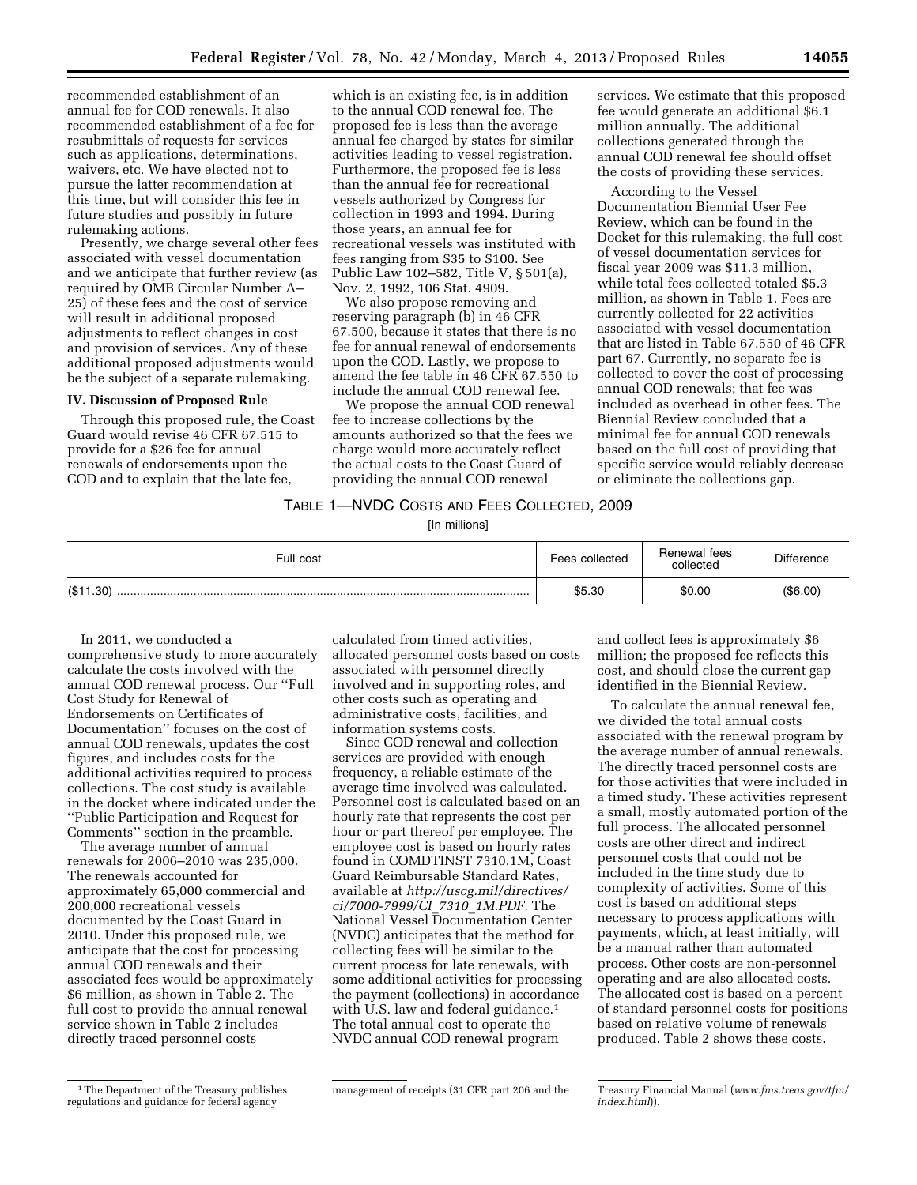recommended establishment of an annual fee for COD renewals. It also recommended establishment of a fee for resubmittals of requests for services such as applications, determinations, waivers, etc. We have elected not to pursue the latter recommendation at this time, but will consider this fee in future studies and possibly in future rulemaking actions.

Presently, we charge several other fees associated with vessel documentation and we anticipate that further review (as required by OMB Circular Number A– 25) of these fees and the cost of service will result in additional proposed adjustments to reflect changes in cost and provision of services. Any of these additional proposed adjustments would be the subject of a separate rulemaking.

### **IV. Discussion of Proposed Rule**

Through this proposed rule, the Coast Guard would revise 46 CFR 67.515 to provide for a \$26 fee for annual renewals of endorsements upon the COD and to explain that the late fee,

which is an existing fee, is in addition to the annual COD renewal fee. The proposed fee is less than the average annual fee charged by states for similar activities leading to vessel registration. Furthermore, the proposed fee is less than the annual fee for recreational vessels authorized by Congress for collection in 1993 and 1994. During those years, an annual fee for recreational vessels was instituted with fees ranging from \$35 to \$100. See Public Law 102–582, Title V, § 501(a), Nov. 2, 1992, 106 Stat. 4909.

We also propose removing and reserving paragraph (b) in 46 CFR 67.500, because it states that there is no fee for annual renewal of endorsements upon the COD. Lastly, we propose to amend the fee table in 46 CFR 67.550 to include the annual COD renewal fee.

We propose the annual COD renewal fee to increase collections by the amounts authorized so that the fees we charge would more accurately reflect the actual costs to the Coast Guard of providing the annual COD renewal

services. We estimate that this proposed fee would generate an additional \$6.1 million annually. The additional collections generated through the annual COD renewal fee should offset the costs of providing these services.

According to the Vessel Documentation Biennial User Fee Review, which can be found in the Docket for this rulemaking, the full cost of vessel documentation services for fiscal year 2009 was \$11.3 million, while total fees collected totaled \$5.3 million, as shown in Table 1. Fees are currently collected for 22 activities associated with vessel documentation that are listed in Table 67.550 of 46 CFR part 67. Currently, no separate fee is collected to cover the cost of processing annual COD renewals; that fee was included as overhead in other fees. The Biennial Review concluded that a minimal fee for annual COD renewals based on the full cost of providing that specific service would reliably decrease or eliminate the collections gap.

# TABLE 1—NVDC COSTS AND FEES COLLECTED, 2009

[In millions]

| Full cost | Fees collected | Renewal fees<br>collected | <b>Difference</b> |
|-----------|----------------|---------------------------|-------------------|
| (\$11.30) | \$5.30         | \$0.00                    | (\$6.00)          |

In 2011, we conducted a comprehensive study to more accurately calculate the costs involved with the annual COD renewal process. Our ''Full Cost Study for Renewal of Endorsements on Certificates of Documentation'' focuses on the cost of annual COD renewals, updates the cost figures, and includes costs for the additional activities required to process collections. The cost study is available in the docket where indicated under the ''Public Participation and Request for Comments'' section in the preamble.

The average number of annual renewals for 2006–2010 was 235,000. The renewals accounted for approximately 65,000 commercial and 200,000 recreational vessels documented by the Coast Guard in 2010. Under this proposed rule, we anticipate that the cost for processing annual COD renewals and their associated fees would be approximately \$6 million, as shown in Table 2. The full cost to provide the annual renewal service shown in Table 2 includes directly traced personnel costs

calculated from timed activities, allocated personnel costs based on costs associated with personnel directly involved and in supporting roles, and other costs such as operating and administrative costs, facilities, and information systems costs.

Since COD renewal and collection services are provided with enough frequency, a reliable estimate of the average time involved was calculated. Personnel cost is calculated based on an hourly rate that represents the cost per hour or part thereof per employee. The employee cost is based on hourly rates found in COMDTINST 7310.1M, Coast Guard Reimbursable Standard Rates, available at *[http://uscg.mil/directives/](http://uscg.mil/directives/ci/7000-7999/CI_7310_1M.PDF) [ci/7000-7999/CI](http://uscg.mil/directives/ci/7000-7999/CI_7310_1M.PDF)*\_*7310*\_*1M.PDF.* The National Vessel Documentation Center (NVDC) anticipates that the method for collecting fees will be similar to the current process for late renewals, with some additional activities for processing the payment (collections) in accordance with U.S. law and federal guidance.<sup>1</sup> The total annual cost to operate the NVDC annual COD renewal program

and collect fees is approximately \$6 million; the proposed fee reflects this cost, and should close the current gap identified in the Biennial Review.

To calculate the annual renewal fee, we divided the total annual costs associated with the renewal program by the average number of annual renewals. The directly traced personnel costs are for those activities that were included in a timed study. These activities represent a small, mostly automated portion of the full process. The allocated personnel costs are other direct and indirect personnel costs that could not be included in the time study due to complexity of activities. Some of this cost is based on additional steps necessary to process applications with payments, which, at least initially, will be a manual rather than automated process. Other costs are non-personnel operating and are also allocated costs. The allocated cost is based on a percent of standard personnel costs for positions based on relative volume of renewals produced. Table 2 shows these costs.

<sup>&</sup>lt;sup>1</sup>The Department of the Treasury publishes regulations and guidance for federal agency

management of receipts (31 CFR part 206 and the Treasury Financial Manual (*[www.fms.treas.gov/tfm/](http://www.fms.treas.gov/tfm/index.html)  [index.html](http://www.fms.treas.gov/tfm/index.html)*)).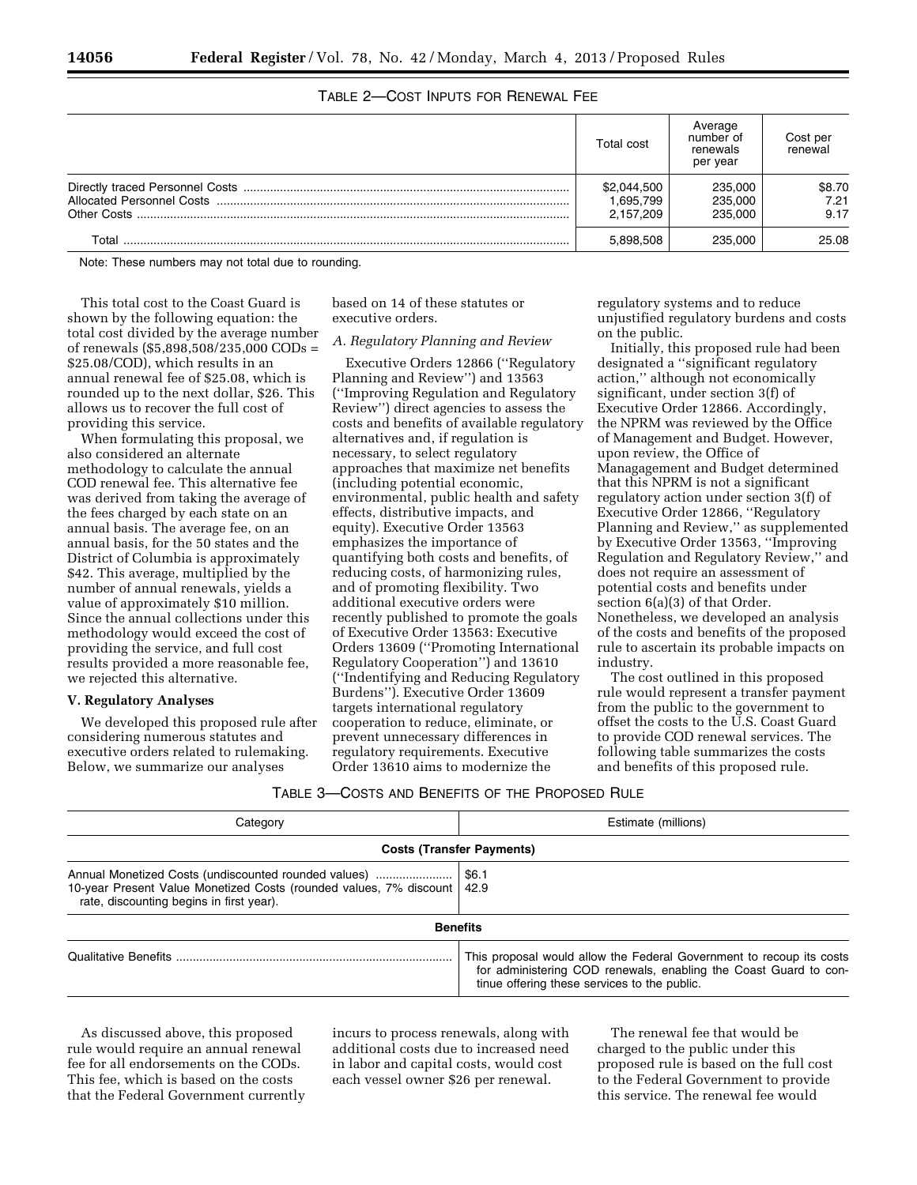| TABLE 2-COST INPUTS FOR RENEWAL FEE |  |  |
|-------------------------------------|--|--|
|                                     |  |  |

|       | Total cost  | Average<br>number of<br>renewals<br>per year | Cost per<br>renewal |
|-------|-------------|----------------------------------------------|---------------------|
|       | \$2,044,500 | 235,000                                      | \$8.70              |
|       | 1.695.799   | 235,000                                      | 7.21                |
|       | 2.157.209   | 235,000                                      | 9.17                |
| ™ota⊩ | 5.898.508   | 235.000                                      | 25.08               |

Note: These numbers may not total due to rounding.

This total cost to the Coast Guard is shown by the following equation: the total cost divided by the average number of renewals (\$5,898,508/235,000 CODs = \$25.08/COD), which results in an annual renewal fee of \$25.08, which is rounded up to the next dollar, \$26. This allows us to recover the full cost of providing this service.

When formulating this proposal, we also considered an alternate methodology to calculate the annual COD renewal fee. This alternative fee was derived from taking the average of the fees charged by each state on an annual basis. The average fee, on an annual basis, for the 50 states and the District of Columbia is approximately \$42. This average, multiplied by the number of annual renewals, yields a value of approximately \$10 million. Since the annual collections under this methodology would exceed the cost of providing the service, and full cost results provided a more reasonable fee, we rejected this alternative.

### **V. Regulatory Analyses**

We developed this proposed rule after considering numerous statutes and executive orders related to rulemaking. Below, we summarize our analyses

based on 14 of these statutes or executive orders.

# *A. Regulatory Planning and Review*

Executive Orders 12866 (''Regulatory Planning and Review'') and 13563 (''Improving Regulation and Regulatory Review'') direct agencies to assess the costs and benefits of available regulatory alternatives and, if regulation is necessary, to select regulatory approaches that maximize net benefits (including potential economic, environmental, public health and safety effects, distributive impacts, and equity). Executive Order 13563 emphasizes the importance of quantifying both costs and benefits, of reducing costs, of harmonizing rules, and of promoting flexibility. Two additional executive orders were recently published to promote the goals of Executive Order 13563: Executive Orders 13609 (''Promoting International Regulatory Cooperation'') and 13610 (''Indentifying and Reducing Regulatory Burdens''). Executive Order 13609 targets international regulatory cooperation to reduce, eliminate, or prevent unnecessary differences in regulatory requirements. Executive Order 13610 aims to modernize the

regulatory systems and to reduce unjustified regulatory burdens and costs on the public.

Initially, this proposed rule had been designated a ''significant regulatory action,'' although not economically significant, under section 3(f) of Executive Order 12866. Accordingly, the NPRM was reviewed by the Office of Management and Budget. However, upon review, the Office of Managagement and Budget determined that this NPRM is not a significant regulatory action under section 3(f) of Executive Order 12866, ''Regulatory Planning and Review,'' as supplemented by Executive Order 13563, ''Improving Regulation and Regulatory Review,'' and does not require an assessment of potential costs and benefits under section 6(a)(3) of that Order. Nonetheless, we developed an analysis of the costs and benefits of the proposed rule to ascertain its probable impacts on industry.

The cost outlined in this proposed rule would represent a transfer payment from the public to the government to offset the costs to the U.S. Coast Guard to provide COD renewal services. The following table summarizes the costs and benefits of this proposed rule.

| TABLE 3—COSTS AND BENEFITS OF THE PROPOSED RULE |  |
|-------------------------------------------------|--|
|-------------------------------------------------|--|

| Categorv                                                                                                                                                                      | Estimate (millions)                                                                                                                                                                      |  |  |
|-------------------------------------------------------------------------------------------------------------------------------------------------------------------------------|------------------------------------------------------------------------------------------------------------------------------------------------------------------------------------------|--|--|
| <b>Costs (Transfer Payments)</b>                                                                                                                                              |                                                                                                                                                                                          |  |  |
| Annual Monetized Costs (undiscounted rounded values)<br>10-year Present Value Monetized Costs (rounded values, 7% discount   42.9<br>rate, discounting begins in first year). | \$6.1                                                                                                                                                                                    |  |  |
|                                                                                                                                                                               | <b>Benefits</b>                                                                                                                                                                          |  |  |
|                                                                                                                                                                               | This proposal would allow the Federal Government to recoup its costs<br>for administering COD renewals, enabling the Coast Guard to con-<br>tinue offering these services to the public. |  |  |

As discussed above, this proposed rule would require an annual renewal fee for all endorsements on the CODs. This fee, which is based on the costs that the Federal Government currently incurs to process renewals, along with additional costs due to increased need in labor and capital costs, would cost each vessel owner \$26 per renewal.

The renewal fee that would be charged to the public under this proposed rule is based on the full cost to the Federal Government to provide this service. The renewal fee would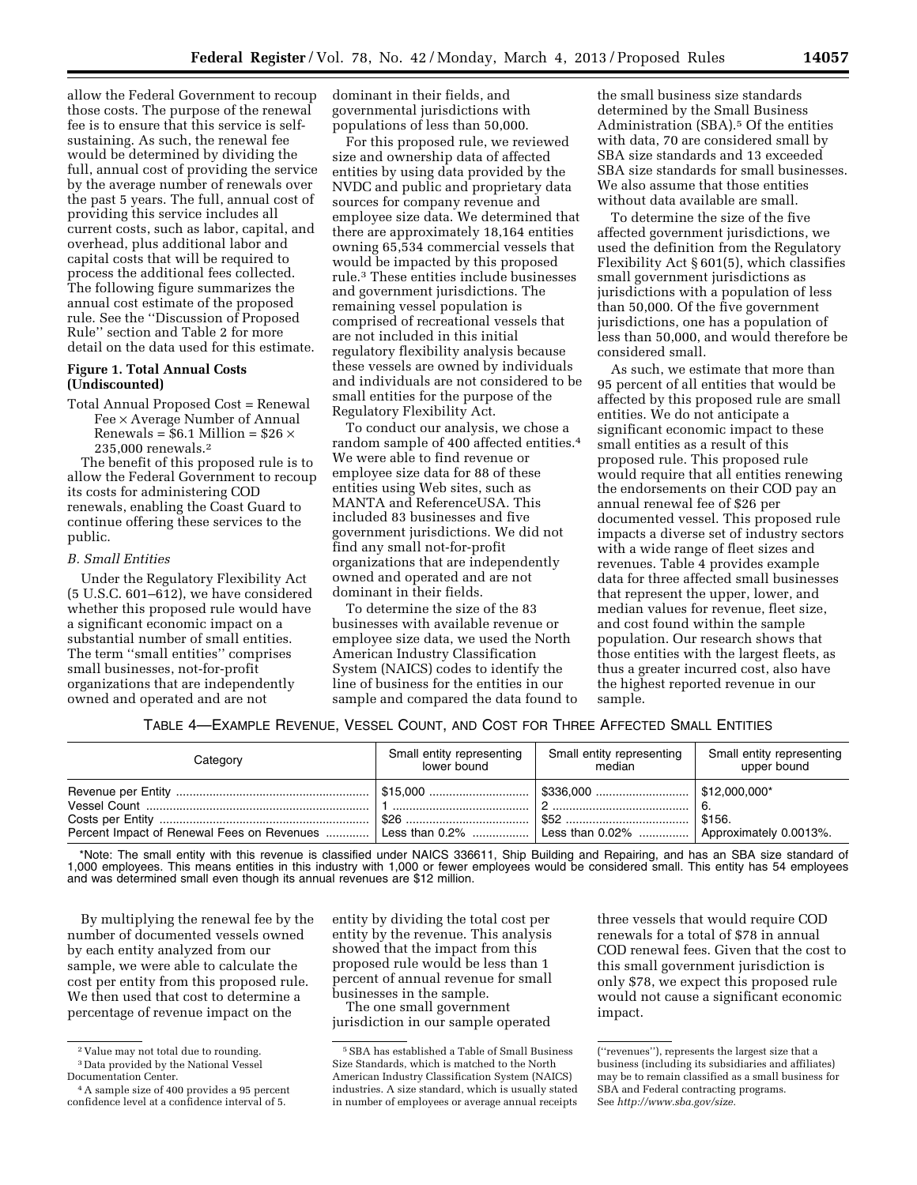allow the Federal Government to recoup those costs. The purpose of the renewal fee is to ensure that this service is selfsustaining. As such, the renewal fee would be determined by dividing the full, annual cost of providing the service by the average number of renewals over the past 5 years. The full, annual cost of providing this service includes all current costs, such as labor, capital, and overhead, plus additional labor and capital costs that will be required to process the additional fees collected. The following figure summarizes the annual cost estimate of the proposed

# **Figure 1. Total Annual Costs (Undiscounted)**

Total Annual Proposed Cost = Renewal Fee × Average Number of Annual Renewals =  $$6.1$  Million =  $$26 \times$ 235,000 renewals.2

rule. See the ''Discussion of Proposed Rule'' section and Table 2 for more detail on the data used for this estimate.

The benefit of this proposed rule is to allow the Federal Government to recoup its costs for administering COD renewals, enabling the Coast Guard to continue offering these services to the public.

# *B. Small Entities*

Under the Regulatory Flexibility Act (5 U.S.C. 601–612), we have considered whether this proposed rule would have a significant economic impact on a substantial number of small entities. The term ''small entities'' comprises small businesses, not-for-profit organizations that are independently owned and operated and are not

dominant in their fields, and governmental jurisdictions with populations of less than 50,000.

For this proposed rule, we reviewed size and ownership data of affected entities by using data provided by the NVDC and public and proprietary data sources for company revenue and employee size data. We determined that there are approximately 18,164 entities owning 65,534 commercial vessels that would be impacted by this proposed rule.3 These entities include businesses and government jurisdictions. The remaining vessel population is comprised of recreational vessels that are not included in this initial regulatory flexibility analysis because these vessels are owned by individuals and individuals are not considered to be small entities for the purpose of the Regulatory Flexibility Act.

To conduct our analysis, we chose a random sample of 400 affected entities.4 We were able to find revenue or employee size data for 88 of these entities using Web sites, such as MANTA and ReferenceUSA. This included 83 businesses and five government jurisdictions. We did not find any small not-for-profit organizations that are independently owned and operated and are not dominant in their fields.

To determine the size of the 83 businesses with available revenue or employee size data, we used the North American Industry Classification System (NAICS) codes to identify the line of business for the entities in our sample and compared the data found to

the small business size standards determined by the Small Business Administration (SBA).<sup>5</sup> Of the entities with data, 70 are considered small by SBA size standards and 13 exceeded SBA size standards for small businesses. We also assume that those entities without data available are small.

To determine the size of the five affected government jurisdictions, we used the definition from the Regulatory Flexibility Act § 601(5), which classifies small government jurisdictions as jurisdictions with a population of less than 50,000. Of the five government jurisdictions, one has a population of less than 50,000, and would therefore be considered small.

As such, we estimate that more than 95 percent of all entities that would be affected by this proposed rule are small entities. We do not anticipate a significant economic impact to these small entities as a result of this proposed rule. This proposed rule would require that all entities renewing the endorsements on their COD pay an annual renewal fee of \$26 per documented vessel. This proposed rule impacts a diverse set of industry sectors with a wide range of fleet sizes and revenues. Table 4 provides example data for three affected small businesses that represent the upper, lower, and median values for revenue, fleet size, and cost found within the sample population. Our research shows that those entities with the largest fleets, as thus a greater incurred cost, also have the highest reported revenue in our sample.

#### TABLE 4—EXAMPLE REVENUE, VESSEL COUNT, AND COST FOR THREE AFFECTED SMALL ENTITIES

| Category                                                                                                | Small entity representing | Small entity representing | Small entity representing |
|---------------------------------------------------------------------------------------------------------|---------------------------|---------------------------|---------------------------|
|                                                                                                         | lower bound               | median                    | upper bound               |
| Percent Impact of Renewal Fees on Revenues  Less than 0.2%    Less than 0.02%    Approximately 0.0013%. |                           |                           | \$156.                    |

\*Note: The small entity with this revenue is classified under NAICS 336611, Ship Building and Repairing, and has an SBA size standard of 1,000 employees. This means entities in this industry with 1,000 or fewer employees would be considered small. This entity has 54 employees and was determined small even though its annual revenues are \$12 million.

By multiplying the renewal fee by the number of documented vessels owned by each entity analyzed from our sample, we were able to calculate the cost per entity from this proposed rule. We then used that cost to determine a percentage of revenue impact on the

entity by dividing the total cost per entity by the revenue. This analysis showed that the impact from this proposed rule would be less than 1 percent of annual revenue for small businesses in the sample.

The one small government jurisdiction in our sample operated

three vessels that would require COD renewals for a total of \$78 in annual COD renewal fees. Given that the cost to this small government jurisdiction is only \$78, we expect this proposed rule would not cause a significant economic impact.

<sup>2</sup> Value may not total due to rounding. 3 Data provided by the National Vessel

Documentation Center.

<sup>4</sup>A sample size of 400 provides a 95 percent confidence level at a confidence interval of 5.

<sup>5</sup>SBA has established a Table of Small Business Size Standards, which is matched to the North American Industry Classification System (NAICS) industries. A size standard, which is usually stated in number of employees or average annual receipts

<sup>(&#</sup>x27;'revenues''), represents the largest size that a business (including its subsidiaries and affiliates) may be to remain classified as a small business for SBA and Federal contracting programs. See *[http://www.sba.gov/size.](http://www.sba.gov/size)*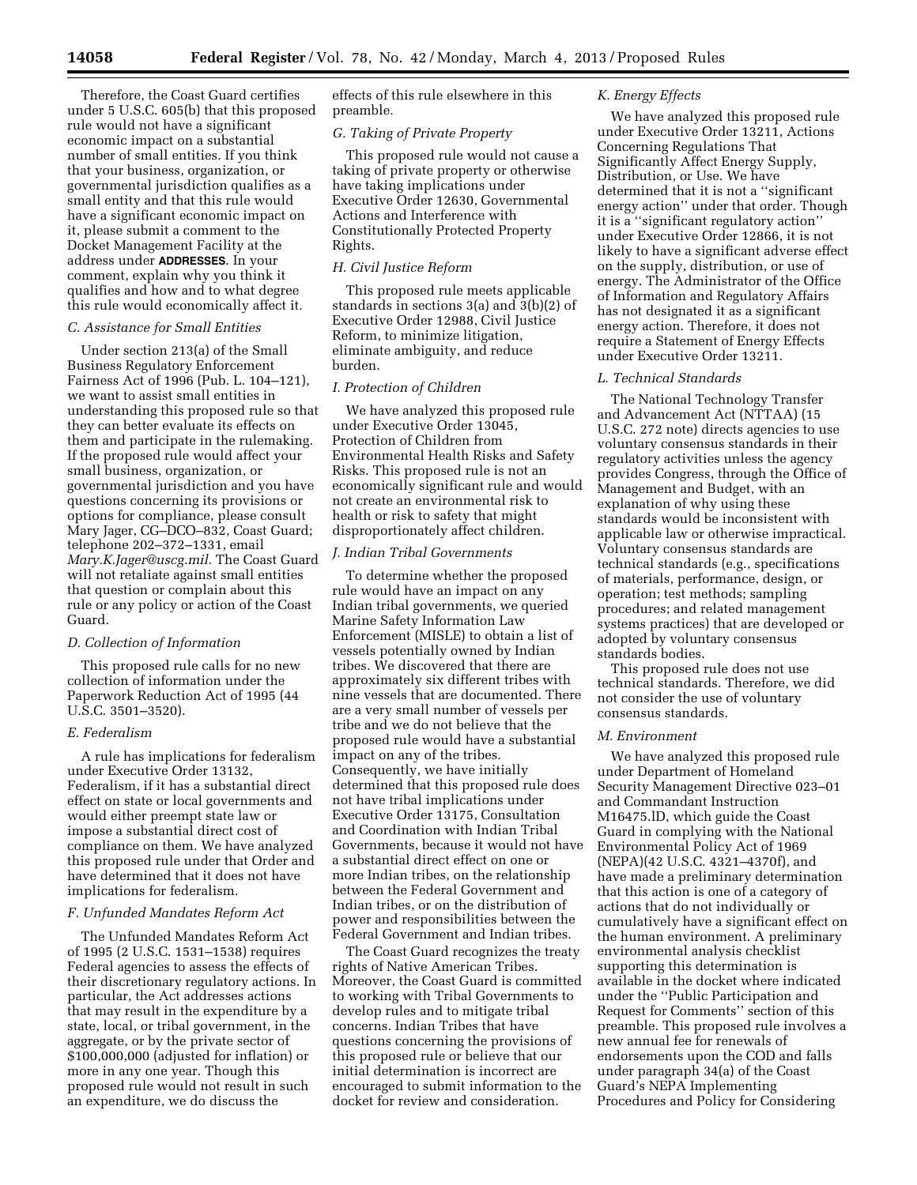Therefore, the Coast Guard certifies under 5 U.S.C. 605(b) that this proposed rule would not have a significant economic impact on a substantial number of small entities. If you think that your business, organization, or governmental jurisdiction qualifies as a small entity and that this rule would have a significant economic impact on it, please submit a comment to the Docket Management Facility at the address under **ADDRESSES**. In your comment, explain why you think it qualifies and how and to what degree this rule would economically affect it.

# *C. Assistance for Small Entities*

Under section 213(a) of the Small Business Regulatory Enforcement Fairness Act of 1996 (Pub. L. 104–121), we want to assist small entities in understanding this proposed rule so that they can better evaluate its effects on them and participate in the rulemaking. If the proposed rule would affect your small business, organization, or governmental jurisdiction and you have questions concerning its provisions or options for compliance, please consult Mary Jager, CG–DCO–832, Coast Guard; telephone 202–372–1331, email *[Mary.K.Jager@uscg.mil.](mailto:Mary.K.Jager@uscg.mil)* The Coast Guard will not retaliate against small entities that question or complain about this rule or any policy or action of the Coast Guard.

### *D. Collection of Information*

This proposed rule calls for no new collection of information under the Paperwork Reduction Act of 1995 (44 U.S.C. 3501–3520).

### *E. Federalism*

A rule has implications for federalism under Executive Order 13132, Federalism, if it has a substantial direct effect on state or local governments and would either preempt state law or impose a substantial direct cost of compliance on them. We have analyzed this proposed rule under that Order and have determined that it does not have implications for federalism.

#### *F. Unfunded Mandates Reform Act*

The Unfunded Mandates Reform Act of 1995 (2 U.S.C. 1531–1538) requires Federal agencies to assess the effects of their discretionary regulatory actions. In particular, the Act addresses actions that may result in the expenditure by a state, local, or tribal government, in the aggregate, or by the private sector of \$100,000,000 (adjusted for inflation) or more in any one year. Though this proposed rule would not result in such an expenditure, we do discuss the

effects of this rule elsewhere in this preamble.

### *G. Taking of Private Property*

This proposed rule would not cause a taking of private property or otherwise have taking implications under Executive Order 12630, Governmental Actions and Interference with Constitutionally Protected Property Rights.

# *H. Civil Justice Reform*

This proposed rule meets applicable standards in sections 3(a) and 3(b)(2) of Executive Order 12988, Civil Justice Reform, to minimize litigation, eliminate ambiguity, and reduce burden.

# *I. Protection of Children*

We have analyzed this proposed rule under Executive Order 13045, Protection of Children from Environmental Health Risks and Safety Risks. This proposed rule is not an economically significant rule and would not create an environmental risk to health or risk to safety that might disproportionately affect children.

# *J. Indian Tribal Governments*

To determine whether the proposed rule would have an impact on any Indian tribal governments, we queried Marine Safety Information Law Enforcement (MISLE) to obtain a list of vessels potentially owned by Indian tribes. We discovered that there are approximately six different tribes with nine vessels that are documented. There are a very small number of vessels per tribe and we do not believe that the proposed rule would have a substantial impact on any of the tribes. Consequently, we have initially determined that this proposed rule does not have tribal implications under Executive Order 13175, Consultation and Coordination with Indian Tribal Governments, because it would not have a substantial direct effect on one or more Indian tribes, on the relationship between the Federal Government and Indian tribes, or on the distribution of power and responsibilities between the Federal Government and Indian tribes.

The Coast Guard recognizes the treaty rights of Native American Tribes. Moreover, the Coast Guard is committed to working with Tribal Governments to develop rules and to mitigate tribal concerns. Indian Tribes that have questions concerning the provisions of this proposed rule or believe that our initial determination is incorrect are encouraged to submit information to the docket for review and consideration.

# *K. Energy Effects*

We have analyzed this proposed rule under Executive Order 13211, Actions Concerning Regulations That Significantly Affect Energy Supply, Distribution, or Use. We have determined that it is not a ''significant energy action'' under that order. Though it is a ''significant regulatory action'' under Executive Order 12866, it is not likely to have a significant adverse effect on the supply, distribution, or use of energy. The Administrator of the Office of Information and Regulatory Affairs has not designated it as a significant energy action. Therefore, it does not require a Statement of Energy Effects under Executive Order 13211.

# *L. Technical Standards*

The National Technology Transfer and Advancement Act (NTTAA) (15 U.S.C. 272 note) directs agencies to use voluntary consensus standards in their regulatory activities unless the agency provides Congress, through the Office of Management and Budget, with an explanation of why using these standards would be inconsistent with applicable law or otherwise impractical. Voluntary consensus standards are technical standards (e.g., specifications of materials, performance, design, or operation; test methods; sampling procedures; and related management systems practices) that are developed or adopted by voluntary consensus standards bodies.

This proposed rule does not use technical standards. Therefore, we did not consider the use of voluntary consensus standards.

### *M. Environment*

We have analyzed this proposed rule under Department of Homeland Security Management Directive 023–01 and Commandant Instruction M16475.lD, which guide the Coast Guard in complying with the National Environmental Policy Act of 1969 (NEPA)(42 U.S.C. 4321–4370f), and have made a preliminary determination that this action is one of a category of actions that do not individually or cumulatively have a significant effect on the human environment. A preliminary environmental analysis checklist supporting this determination is available in the docket where indicated under the ''Public Participation and Request for Comments'' section of this preamble. This proposed rule involves a new annual fee for renewals of endorsements upon the COD and falls under paragraph 34(a) of the Coast Guard's NEPA Implementing Procedures and Policy for Considering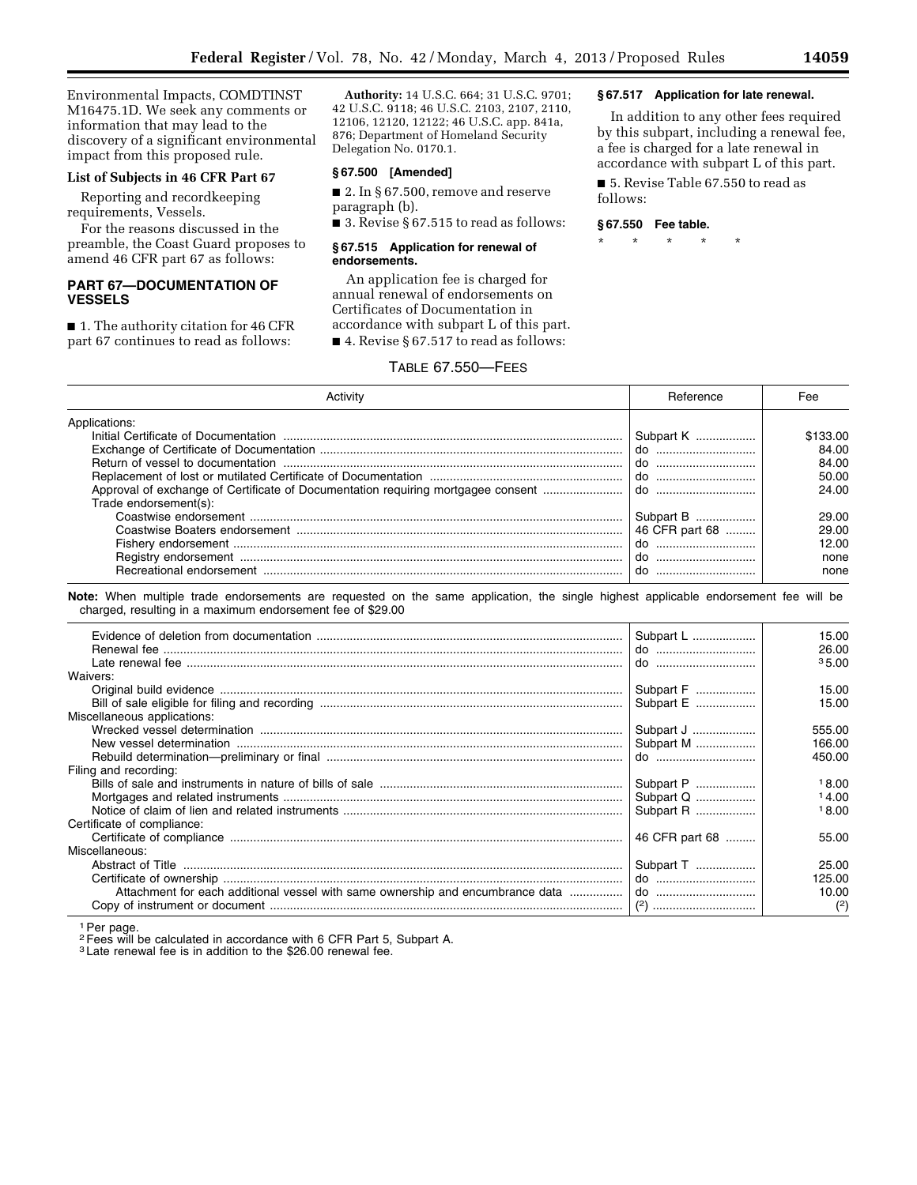Environmental Impacts, COMDTINST M16475.1D. We seek any comments or information that may lead to the discovery of a significant environmental impact from this proposed rule.

### **List of Subjects in 46 CFR Part 67**

Reporting and recordkeeping requirements, Vessels.

For the reasons discussed in the preamble, the Coast Guard proposes to amend 46 CFR part 67 as follows:

# **PART 67—DOCUMENTATION OF VESSELS**

■ 1. The authority citation for 46 CFR part 67 continues to read as follows:

**Authority:** 14 U.S.C. 664; 31 U.S.C. 9701; 42 U.S.C. 9118; 46 U.S.C. 2103, 2107, 2110, 12106, 12120, 12122; 46 U.S.C. app. 841a, 876; Department of Homeland Security Delegation No. 0170.1.

# **§ 67.500 [Amended]**

■ 2. In § 67.500, remove and reserve paragraph (b).

■ 3. Revise § 67.515 to read as follows:

#### **§ 67.515 Application for renewal of endorsements.**

An application fee is charged for annual renewal of endorsements on Certificates of Documentation in accordance with subpart L of this part. ■ 4. Revise § 67.517 to read as follows:

# TABLE 67.550—FEES

by this subpart, including a renewal fee, a fee is charged for a late renewal in

In addition to any other fees required

**§ 67.517 Application for late renewal.** 

accordance with subpart L of this part. ■ 5. Revise Table 67.550 to read as

follows:

#### **§ 67.550 Fee table.**

\* \* \* \* \*

| Activity                                                                                                  | Reference      | Fee      |  |
|-----------------------------------------------------------------------------------------------------------|----------------|----------|--|
| Applications:                                                                                             |                |          |  |
|                                                                                                           | Subpart K      | \$133.00 |  |
|                                                                                                           |                | 84.00    |  |
|                                                                                                           |                | 84.00    |  |
|                                                                                                           |                | 50.00    |  |
| Approval of exchange of Certificate of Documentation requiring mortgagee consent<br>Trade endorsement(s): | do             | 24.00    |  |
|                                                                                                           | Subpart B      | 29.00    |  |
|                                                                                                           | 46 CFR part 68 | 29.00    |  |
|                                                                                                           |                | 12.00    |  |
|                                                                                                           |                | none     |  |
|                                                                                                           |                | none     |  |
| charged, resulting in a maximum endorsement fee of \$29.00                                                | Subpart L      | 15.00    |  |
|                                                                                                           | do             | 26.00    |  |
|                                                                                                           |                | 35.00    |  |
| Waivers:                                                                                                  |                |          |  |
|                                                                                                           | Subpart F      | 15.00    |  |
|                                                                                                           | Subpart E      | 15.00    |  |
| Miscellaneous applications:                                                                               |                |          |  |
|                                                                                                           | Subpart J      | 555.00   |  |
|                                                                                                           | Subpart M      | 166.00   |  |
|                                                                                                           |                | 450.00   |  |
| Filing and recording:                                                                                     |                |          |  |
|                                                                                                           | Subpart P      | 18.00    |  |
|                                                                                                           | Subpart Q      | 14.00    |  |
|                                                                                                           | Subpart R      | 18.00    |  |
| Certificate of compliance:                                                                                |                |          |  |
|                                                                                                           | 46 CFR part 68 | 55.00    |  |
| Miscellaneous:                                                                                            |                |          |  |
|                                                                                                           | Subpart T      | 25.00    |  |
|                                                                                                           | $\phi$         | 125.00   |  |
| Attachment for each additional vessel with same ownership and encumbrance data                            |                | 10.00    |  |
|                                                                                                           |                | (2)      |  |

<sup>1</sup> Per page.

2Fees will be calculated in accordance with 6 CFR Part 5, Subpart A.

3 Late renewal fee is in addition to the \$26.00 renewal fee.